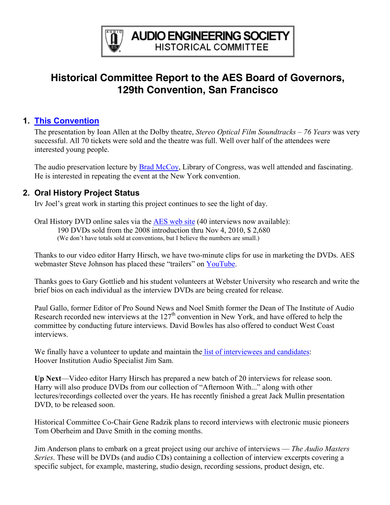

# **Historical Committee Report to the AES Board of Governors, 129th Convention, San Francisco**

### **1. [This Convention](http://www.aes.org/events/129/historical/)**

The presentation by Ioan Allen at the Dolby theatre, *Stereo Optical Film Soundtracks – 76 Years* was very successful. All 70 tickets were sold and the theatre was full. Well over half of the attendees were interested young people.

The audio preservation lecture by **Brad McCoy**, Library of Congress, was well attended and fascinating. He is interested in repeating the event at the New York convention.

## **2. Oral History Project Status**

Irv Joel's great work in starting this project continues to see the light of day.

Oral History DVD online sales via the [AES web site](http://www.aes.org/historical/store/oralhistory/) (40 interviews now available): 190 DVDs sold from the 2008 introduction thru Nov 4, 2010, \$ 2,680 (We don't have totals sold at conventions, but I believe the numbers are small.)

Thanks to our video editor Harry Hirsch, we have two-minute clips for use in marketing the DVDs. AES webmaster Steve Johnson has placed these "trailers" on [YouTube.](http://www.youtube.com/results?search_query=AES+Oral+History&aq=f)

Thanks goes to Gary Gottlieb and his student volunteers at Webster University who research and write the brief bios on each individual as the interview DVDs are being created for release.

Paul Gallo, former Editor of Pro Sound News and Noel Smith former the Dean of The Institute of Audio Research recorded new interviews at the  $127<sup>th</sup>$  convention in New York, and have offered to help the committee by conducting future interviews. David Bowles has also offered to conduct West Coast interviews.

We finally have a volunteer to update and maintain the [list of interviewees and candidates:](http://www.aes.org/aeshc/docs/oralhist/interview.master.pub.040927a.pdf) Hoover Institution Audio Specialist Jim Sam.

**Up Next**—Video editor Harry Hirsch has prepared a new batch of 20 interviews for release soon. Harry will also produce DVDs from our collection of "Afternoon With..." along with other lectures/recordings collected over the years. He has recently finished a great Jack Mullin presentation DVD, to be released soon.

Historical Committee Co-Chair Gene Radzik plans to record interviews with electronic music pioneers Tom Oberheim and Dave Smith in the coming months.

Jim Anderson plans to embark on a great project using our archive of interviews — *The Audio Masters Series*. These will be DVDs (and audio CDs) containing a collection of interview excerpts covering a specific subject, for example, mastering, studio design, recording sessions, product design, etc.